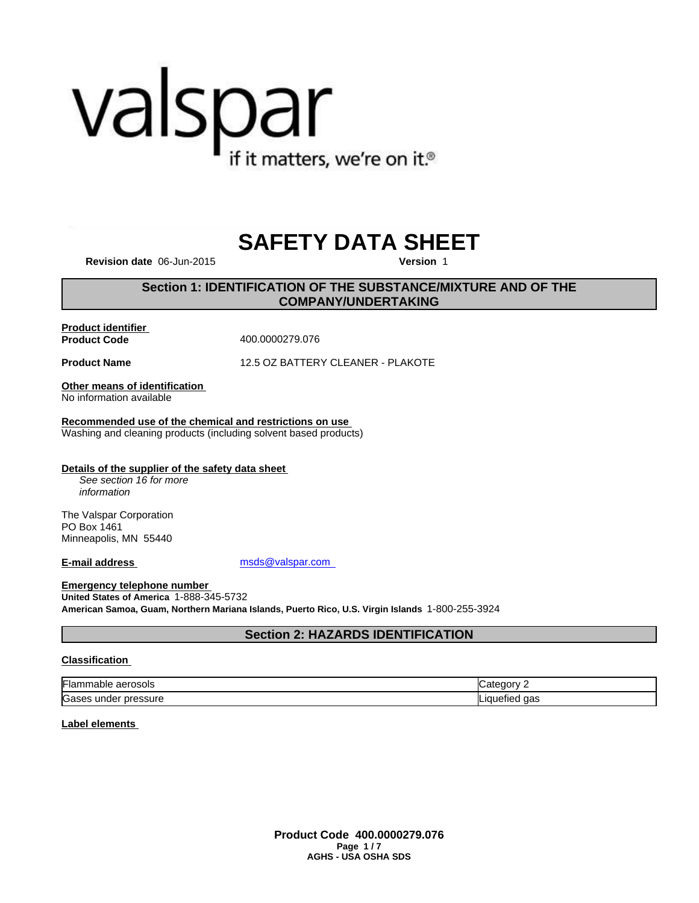# valspar if it matters, we're on it.<sup>®</sup>

# **SAFETY DATA SHEET**

**Revision date** 06-Jun-2015 **Version** 1

# **Section 1: IDENTIFICATION OF THE SUBSTANCE/MIXTURE AND OF THE COMPANY/UNDERTAKING**

**Product identifier** 

**Product Code** 400.0000279.076

**Product Name** 12.5 OZ BATTERY CLEANER - PLAKOTE

**Other means of identification**  No information available

**Recommended use of the chemical and restrictions on use**  Washing and cleaning products (including solvent based products)

**Details of the supplier of the safety data sheet** 

*See section 16 for more information*

The Valspar Corporation PO Box 1461 Minneapolis, MN 55440

**E-mail address** msds@valspar.com

**Emergency telephone number United States of America** 1-888-345-5732 **American Samoa, Guam, Northern Mariana Islands, Puerto Rico, U.S. Virgin Islands** 1-800-255-3924

# **Section 2: HAZARDS IDENTIFICATION**

#### **Classification**

| ı.,<br>aerosols ؛<br>⊩lammable | ----   |
|--------------------------------|--------|
| Gases                          | aas    |
| pressure                       | $\sim$ |
| under                          | enec.  |

**Label elements** 

**Product Code 400.0000279.076 Page 1 / 7 AGHS - USA OSHA SDS**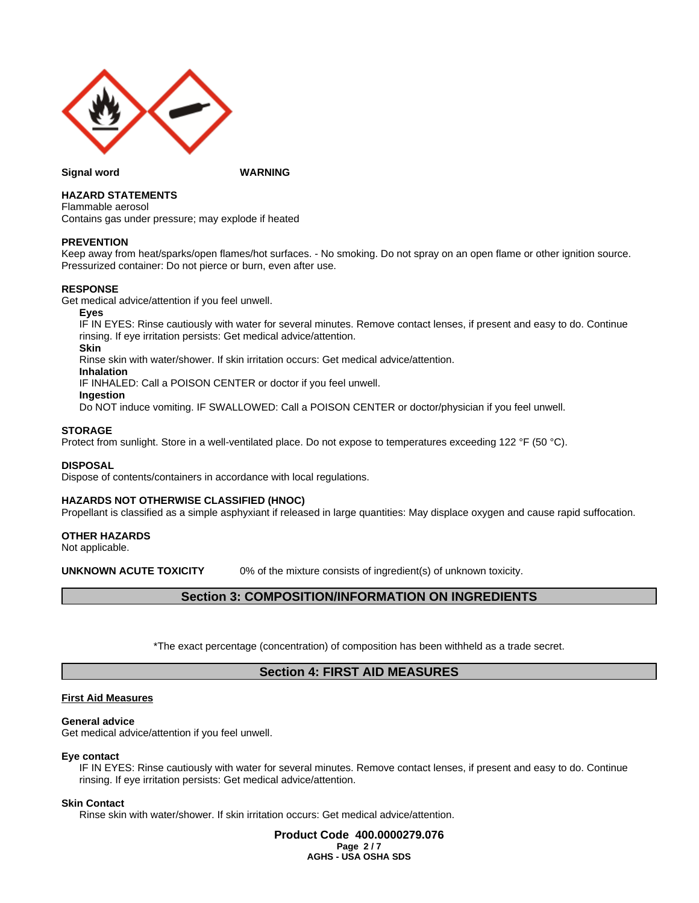

#### **Signal word WARNING**

#### **HAZARD STATEMENTS**

Flammable aerosol Contains gas under pressure; may explode if heated

#### **PREVENTION**

Keep away from heat/sparks/open flames/hot surfaces. - No smoking. Do not spray on an open flame or other ignition source. Pressurized container: Do not pierce or burn, even after use.

#### **RESPONSE**

Get medical advice/attention if you feel unwell.

**Eyes**

IF IN EYES: Rinse cautiously with water for several minutes. Remove contact lenses, if present and easy to do. Continue rinsing. If eye irritation persists: Get medical advice/attention.

**Skin**

Rinse skin with water/shower. If skin irritation occurs: Get medical advice/attention.

**Inhalation**

IF INHALED: Call a POISON CENTER or doctor if you feel unwell.

**Ingestion**

Do NOT induce vomiting. IF SWALLOWED: Call a POISON CENTER or doctor/physician if you feel unwell.

#### **STORAGE**

Protect from sunlight. Store in a well-ventilated place. Do not expose to temperatures exceeding 122 °F (50 °C).

#### **DISPOSAL**

Dispose of contents/containers in accordance with local regulations.

#### **HAZARDS NOT OTHERWISE CLASSIFIED (HNOC)**

Propellant is classified as a simple asphyxiant if released in large quantities: May displace oxygen and cause rapid suffocation.

#### **OTHER HAZARDS**

Not applicable.

**UNKNOWN ACUTE TOXICITY** 0% of the mixture consists of ingredient(s) of unknown toxicity.

# **Section 3: COMPOSITION/INFORMATION ON INGREDIENTS**

\*The exact percentage (concentration) of composition has been withheld as a trade secret.

# **Section 4: FIRST AID MEASURES**

#### **First Aid Measures**

#### **General advice**

Get medical advice/attention if you feel unwell.

#### **Eye contact**

IF IN EYES: Rinse cautiously with water for several minutes. Remove contact lenses, if present and easy to do. Continue rinsing. If eye irritation persists: Get medical advice/attention.

#### **Skin Contact**

Rinse skin with water/shower. If skin irritation occurs: Get medical advice/attention.

**Product Code 400.0000279.076 Page 2 / 7 AGHS - USA OSHA SDS**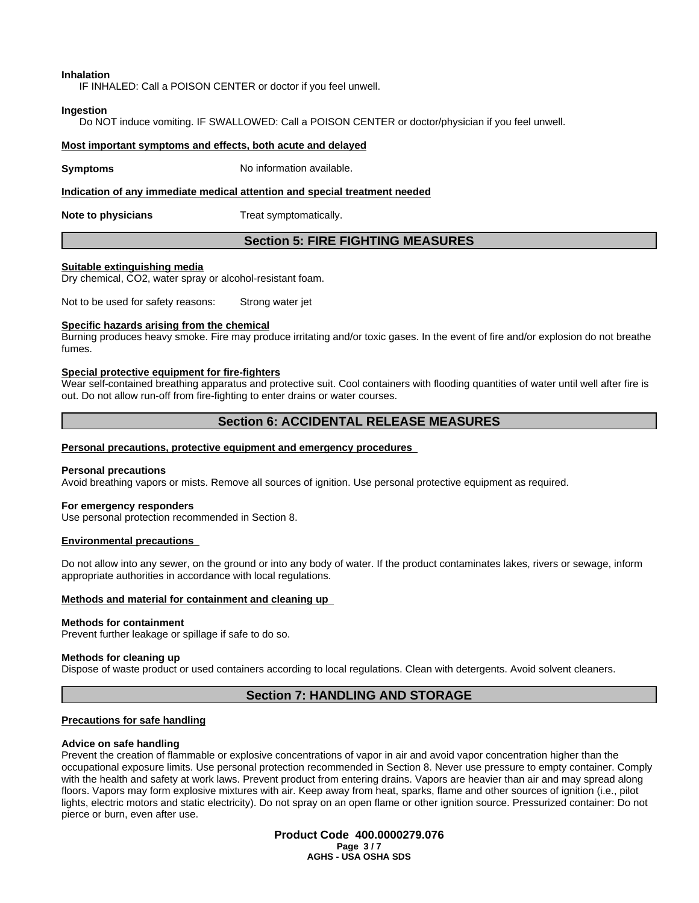**Inhalation**

IF INHALED: Call a POISON CENTER or doctor if you feel unwell.

#### **Ingestion**

Do NOT induce vomiting. IF SWALLOWED: Call a POISON CENTER or doctor/physician if you feel unwell.

#### **Most important symptoms and effects, both acute and delayed**

**Symptoms** No information available.

**Indication of any immediate medical attention and special treatment needed**

**Note to physicians** Treat symptomatically.

# **Section 5: FIRE FIGHTING MEASURES**

#### **Suitable extinguishing media**

Dry chemical, CO2, water spray or alcohol-resistant foam.

Not to be used for safety reasons: Strong water jet

#### **Specific hazards arising from the chemical**

Burning produces heavy smoke. Fire may produce irritating and/or toxic gases. In the event of fire and/or explosion do not breathe fumes.

#### **Special protective equipment for fire-fighters**

Wear self-contained breathing apparatus and protective suit. Cool containers with flooding quantities of water until well after fire is out. Do not allow run-off from fire-fighting to enter drains or water courses.

# **Section 6: ACCIDENTAL RELEASE MEASURES**

#### **Personal precautions, protective equipment and emergency procedures**

#### **Personal precautions**

Avoid breathing vapors or mists. Remove all sources of ignition. Use personal protective equipment as required.

#### **For emergency responders**

Use personal protection recommended in Section 8.

#### **Environmental precautions**

Do not allow into any sewer, on the ground or into any body of water. If the product contaminates lakes, rivers or sewage, inform appropriate authorities in accordance with local regulations.

#### **Methods and material for containment and cleaning up**

#### **Methods for containment**

Prevent further leakage or spillage if safe to do so.

#### **Methods for cleaning up**

Dispose of waste product or used containers according to local regulations. Clean with detergents. Avoid solvent cleaners.

# **Section 7: HANDLING AND STORAGE**

#### **Precautions for safe handling**

#### **Advice on safe handling**

Prevent the creation of flammable or explosive concentrations of vapor in air and avoid vapor concentration higher than the occupational exposure limits. Use personal protection recommended in Section 8. Never use pressure to empty container. Comply with the health and safety at work laws. Prevent product from entering drains. Vapors are heavier than air and may spread along floors. Vapors may form explosive mixtures with air. Keep away from heat, sparks, flame and other sources of ignition (i.e., pilot lights, electric motors and static electricity). Do not spray on an open flame or other ignition source. Pressurized container: Do not pierce or burn, even after use.

> **Product Code 400.0000279.076 Page 3 / 7 AGHS - USA OSHA SDS**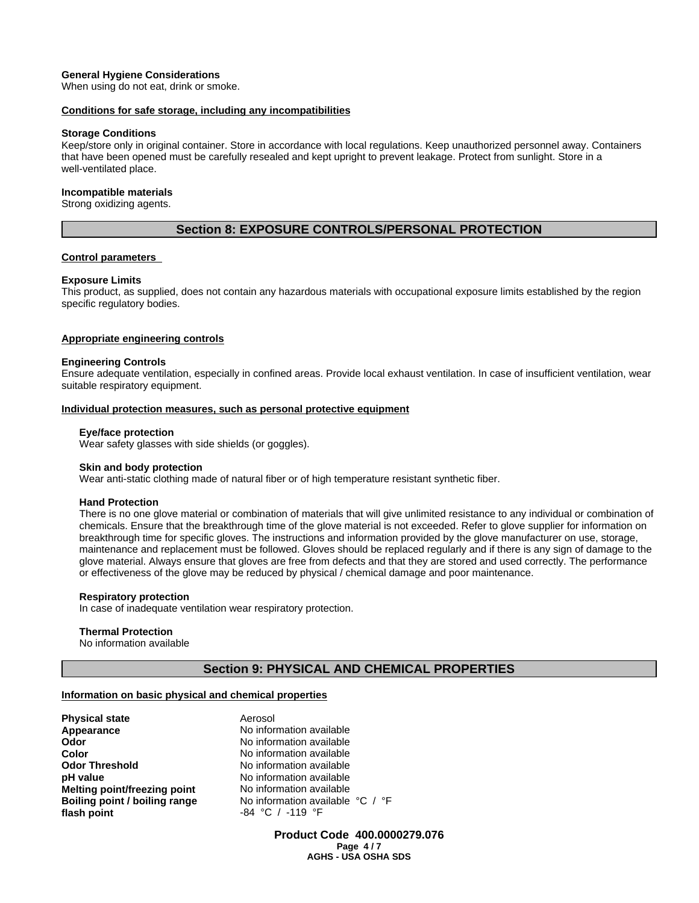#### **General Hygiene Considerations**

When using do not eat, drink or smoke.

#### **Conditions for safe storage, including any incompatibilities**

#### **Storage Conditions**

Keep/store only in original container. Store in accordance with local regulations. Keep unauthorized personnel away. Containers that have been opened must be carefully resealed and kept upright to prevent leakage. Protect from sunlight. Store in a well-ventilated place.

#### **Incompatible materials**

Strong oxidizing agents.

# **Section 8: EXPOSURE CONTROLS/PERSONAL PROTECTION**

#### **Control parameters**

#### **Exposure Limits**

This product, as supplied, does not contain any hazardous materials with occupational exposure limits established by the region specific regulatory bodies.

#### **Appropriate engineering controls**

#### **Engineering Controls**

Ensure adequate ventilation, especially in confined areas. Provide local exhaust ventilation. In case of insufficient ventilation, wear suitable respiratory equipment.

#### **Individual protection measures, such as personal protective equipment**

#### **Eye/face protection**

Wear safety glasses with side shields (or goggles).

#### **Skin and body protection**

Wear anti-static clothing made of natural fiber or of high temperature resistant synthetic fiber.

#### **Hand Protection**

There is no one glove material or combination of materials that will give unlimited resistance to any individual or combination of chemicals. Ensure that the breakthrough time of the glove material is not exceeded. Refer to glove supplier for information on breakthrough time for specific gloves. The instructions and information provided by the glove manufacturer on use, storage, maintenance and replacement must be followed. Gloves should be replaced regularly and if there is any sign of damage to the glove material. Always ensure that gloves are free from defects and that they are stored and used correctly. The performance or effectiveness of the glove may be reduced by physical / chemical damage and poor maintenance.

#### **Respiratory protection**

In case of inadequate ventilation wear respiratory protection.

#### **Thermal Protection**

No information available

#### **Section 9: PHYSICAL AND CHEMICAL PROPERTIES**

#### **Information on basic physical and chemical properties**

| Aerosol           |
|-------------------|
| No information av |
| No information av |
| No information av |
| No information av |
| No information av |
| No information av |
| No information av |
| -84 °C / -119 °   |
|                   |

**Appearance** No information available **No information available No information available No information available No information available No information available B Book** No information available °C / °F **flash point** -84 °C / -119 °F

> **Product Code 400.0000279.076 Page 4 / 7 AGHS - USA OSHA SDS**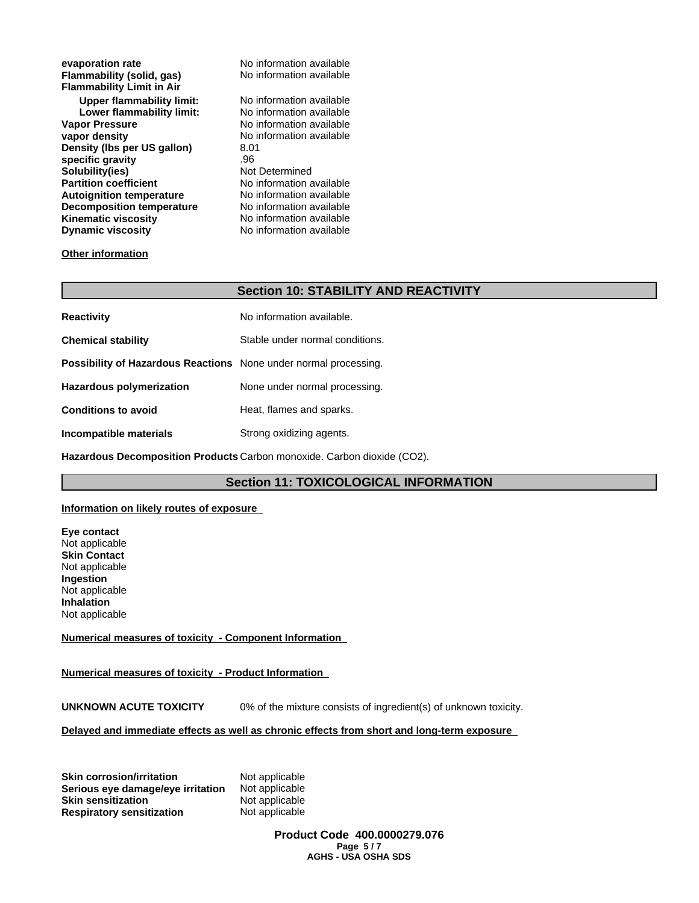| evaporation rate                 | No information available |
|----------------------------------|--------------------------|
| Flammability (solid, gas)        | No information available |
| <b>Flammability Limit in Air</b> |                          |
| Upper flammability limit:        | No information available |
| Lower flammability limit:        | No information available |
| <b>Vapor Pressure</b>            | No information available |
| vapor density                    | No information available |
| Density (Ibs per US gallon)      | 8.01                     |
| specific gravity                 | .96                      |
| Solubility(ies)                  | Not Determined           |
| <b>Partition coefficient</b>     | No information available |
| <b>Autoignition temperature</b>  | No information available |
| <b>Decomposition temperature</b> | No information available |
| <b>Kinematic viscosity</b>       | No information available |
| <b>Dynamic viscosity</b>         | No information available |
|                                  |                          |

#### **Other information**

# **Section 10: STABILITY AND REACTIVITY**

| <b>Reactivity</b>                                                       | No information available.       |
|-------------------------------------------------------------------------|---------------------------------|
| <b>Chemical stability</b>                                               | Stable under normal conditions. |
| <b>Possibility of Hazardous Reactions</b> None under normal processing. |                                 |
| <b>Hazardous polymerization</b>                                         | None under normal processing.   |
| <b>Conditions to avoid</b>                                              | Heat, flames and sparks.        |
| Incompatible materials                                                  | Strong oxidizing agents.        |

**Hazardous Decomposition Products** Carbon monoxide. Carbon dioxide (CO2).

## **Section 11: TOXICOLOGICAL INFORMATION**

#### **Information on likely routes of exposure**

**Eye contact** Not applicable **Skin Contact** Not applicable **Ingestion** Not applicable **Inhalation** Not applicable

#### **Numerical measures of toxicity - Component Information**

#### **Numerical measures of toxicity - Product Information**

**UNKNOWN ACUTE TOXICITY** 0% of the mixture consists of ingredient(s) of unknown toxicity.

#### **Delayed and immediate effects as well as chronic effects from short and long-term exposure**

**Skin corrosion/irritation 6 Mot applicable**<br>**Serious eve damage/eve irritation** Not applicable **Serious eye damage/eye irritation Skin sensitization** Not applicable **Respiratory sensitization** Not applicable

**Product Code 400.0000279.076 Page 5 / 7 AGHS - USA OSHA SDS**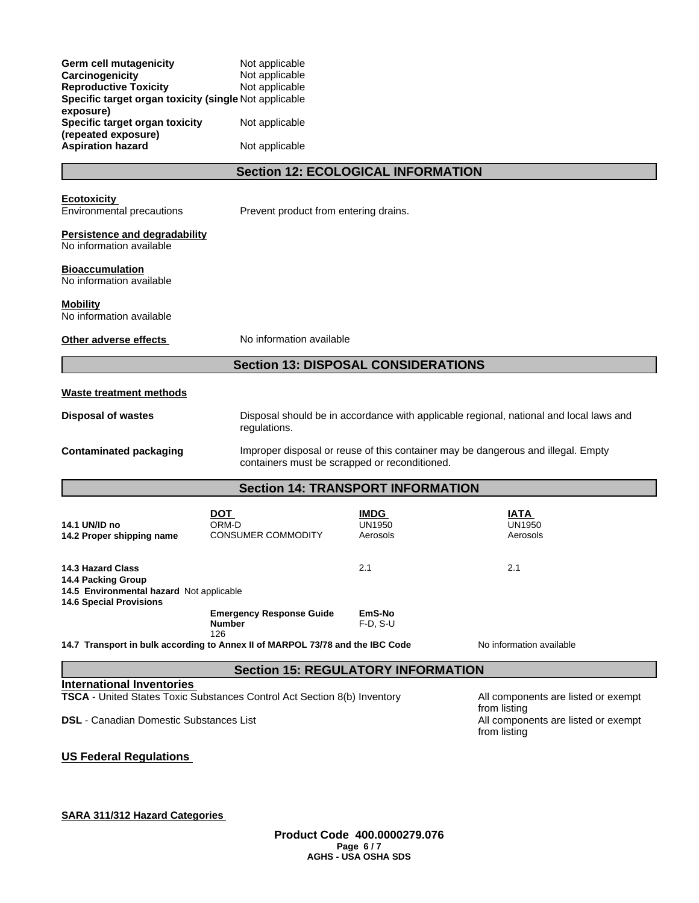| Germ cell mutagenicity<br>Carcinogenicity<br><b>Reproductive Toxicity</b><br>Specific target organ toxicity (single Not applicable<br>exposure) | Not applicable<br>Not applicable<br>Not applicable                                                                                |                                          |                                                                                        |
|-------------------------------------------------------------------------------------------------------------------------------------------------|-----------------------------------------------------------------------------------------------------------------------------------|------------------------------------------|----------------------------------------------------------------------------------------|
| Specific target organ toxicity<br>(repeated exposure)                                                                                           | Not applicable                                                                                                                    |                                          |                                                                                        |
| <b>Aspiration hazard</b>                                                                                                                        | Not applicable                                                                                                                    |                                          |                                                                                        |
|                                                                                                                                                 | <b>Section 12: ECOLOGICAL INFORMATION</b>                                                                                         |                                          |                                                                                        |
| <b>Ecotoxicity</b><br>Environmental precautions                                                                                                 | Prevent product from entering drains.                                                                                             |                                          |                                                                                        |
| <b>Persistence and degradability</b><br>No information available                                                                                |                                                                                                                                   |                                          |                                                                                        |
| <b>Bioaccumulation</b><br>No information available                                                                                              |                                                                                                                                   |                                          |                                                                                        |
| <b>Mobility</b><br>No information available                                                                                                     |                                                                                                                                   |                                          |                                                                                        |
| Other adverse effects                                                                                                                           | No information available                                                                                                          |                                          |                                                                                        |
|                                                                                                                                                 | <b>Section 13: DISPOSAL CONSIDERATIONS</b>                                                                                        |                                          |                                                                                        |
| <b>Waste treatment methods</b>                                                                                                                  |                                                                                                                                   |                                          |                                                                                        |
| <b>Disposal of wastes</b>                                                                                                                       | regulations.                                                                                                                      |                                          | Disposal should be in accordance with applicable regional, national and local laws and |
| <b>Contaminated packaging</b>                                                                                                                   | Improper disposal or reuse of this container may be dangerous and illegal. Empty<br>containers must be scrapped or reconditioned. |                                          |                                                                                        |
|                                                                                                                                                 | <b>Section 14: TRANSPORT INFORMATION</b>                                                                                          |                                          |                                                                                        |
| 14.1 UN/ID no<br>14.2 Proper shipping name                                                                                                      | <b>DOT</b><br>ORM-D<br><b>CONSUMER COMMODITY</b>                                                                                  | <b>IMDG</b><br><b>UN1950</b><br>Aerosols | IATA<br><b>UN1950</b><br>Aerosols                                                      |
| 14.3 Hazard Class<br>14.4 Packing Group<br>14.5 Environmental hazard Not applicable<br><b>14.6 Special Provisions</b>                           |                                                                                                                                   | 2.1                                      | 2.1                                                                                    |
|                                                                                                                                                 | <b>Emergency Response Guide</b><br><b>Number</b><br>126                                                                           | EmS-No<br>$F-D, S-U$                     |                                                                                        |
| 14.7 Transport in bulk according to Annex II of MARPOL 73/78 and the IBC Code                                                                   |                                                                                                                                   |                                          | No information available                                                               |
|                                                                                                                                                 | <b>Section 15: REGULATORY INFORMATION</b>                                                                                         |                                          |                                                                                        |
| <b>International Inventories</b><br>TSCA - United States Toxic Substances Control Act Section 8(b) Inventory                                    |                                                                                                                                   |                                          | All components are listed or exempt                                                    |
| <b>DSL</b> - Canadian Domestic Substances List                                                                                                  |                                                                                                                                   |                                          | from listing<br>All components are listed or exempt<br>from listing                    |

**US Federal Regulations** 

# **SARA 311/312 Hazard Categories**

**Product Code 400.0000279.076 Page 6 / 7 AGHS - USA OSHA SDS**